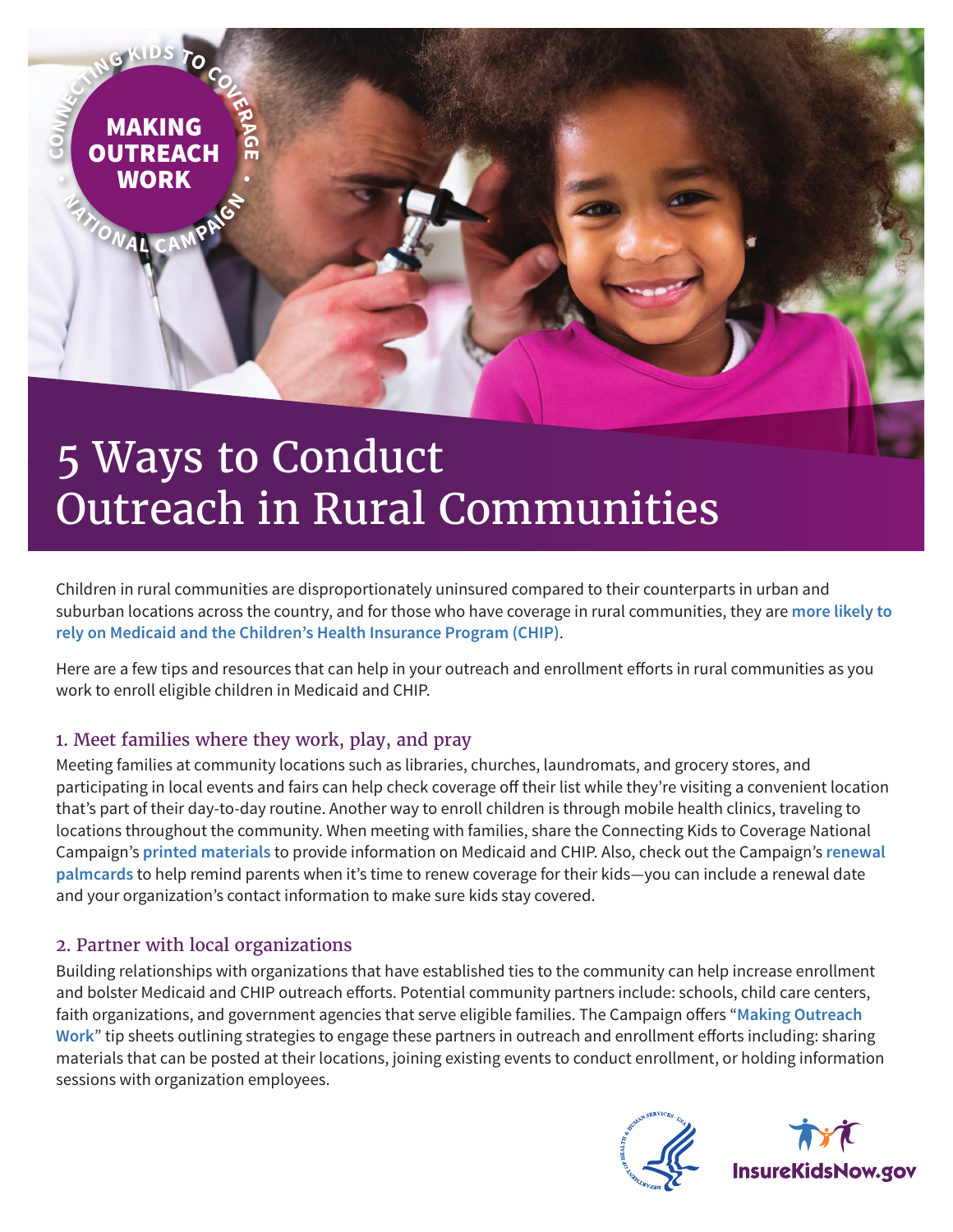

# 5 Ways to Conduct Outreach in Rural Communities

Children in rural communities are disproportionately uninsured compared to their counterparts in urban and suburban locations across the country, and for those who have coverage in rural communities, they are **[more likely to](https://ccf.georgetown.edu/wp-content/uploads/2017/06/Rural-health-final.pdf)  [rely on Medicaid and the Children's Health Insurance Program \(CHIP\)](https://ccf.georgetown.edu/wp-content/uploads/2017/06/Rural-health-final.pdf)**.

Here are a few tips and resources that can help in your outreach and enrollment efforts in rural communities as you work to enroll eligible children in Medicaid and CHIP.

## 1. Meet families where they work, play, and pray

Meeting families at community locations such as libraries, churches, laundromats, and grocery stores, and participating in local events and fairs can help check coverage off their list while they're visiting a convenient location that's part of their day-to-day routine. Another way to enroll children is through mobile health clinics, traveling to locations throughout the community. When meeting with families, share the Connecting Kids to Coverage National Campaign's **[printed materials](https://www.insurekidsnow.gov/library/index.html#PrintMaterials)** to provide information on Medicaid and CHIP. Also, check out the Campaign's **[renewal](https://www.insurekidsnow.gov/library/index.html#Palmcards)  [palmcards](https://www.insurekidsnow.gov/library/index.html#Palmcards)** to help remind parents when it's time to renew coverage for their kids—you can include a renewal date and your organization's contact information to make sure kids stay covered.

#### 2. Partner with local organizations

Building relationships with organizations that have established ties to the community can help increase enrollment and bolster Medicaid and CHIP outreach efforts. Potential community partners include: schools, child care centers, faith organizations, and government agencies that serve eligible families. The Campaign offers "**[Making Outreach](https://www.insurekidsnow.gov/library/index.html#Tips)  [Work](https://www.insurekidsnow.gov/library/index.html#Tips)**" tip sheets outlining strategies to engage these partners in outreach and enrollment efforts including: sharing materials that can be posted at their locations, joining existing events to conduct enrollment, or holding information sessions with organization employees.